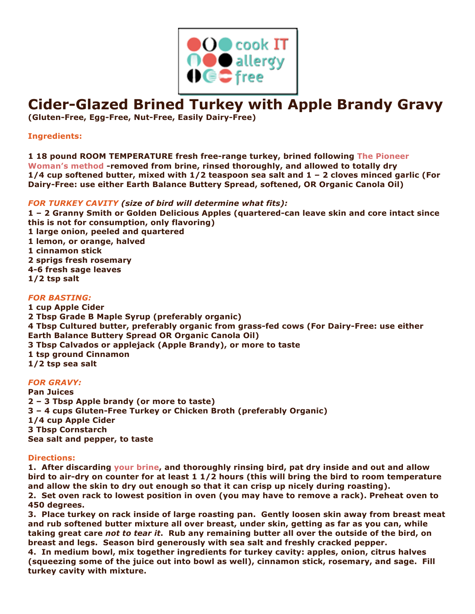

# **Cider-Glazed Brined Turkey with Apple Brandy Gravy**

**(Gluten-Free, Egg-Free, Nut-Free, Easily Dairy-Free)**

**Ingredients:**

**1 18 pound ROOM TEMPERATURE fresh free-range turkey, brined following The Pioneer Woman's method -removed from brine, rinsed thoroughly, and allowed to totally dry 1/4 cup softened butter, mixed with 1/2 teaspoon sea salt and 1 – 2 cloves minced garlic (For Dairy-Free: use either Earth Balance Buttery Spread, softened, OR Organic Canola Oil)**

## *FOR TURKEY CAVITY (size of bird will determine what fits):*

**1 – 2 Granny Smith or Golden Delicious Apples (quartered-can leave skin and core intact since this is not for consumption, only flavoring) 1 large onion, peeled and quartered 1 lemon, or orange, halved 1 cinnamon stick 2 sprigs fresh rosemary 4-6 fresh sage leaves 1/2 tsp salt**

### *FOR BASTING:*

**1 cup Apple Cider 2 Tbsp Grade B Maple Syrup (preferably organic) 4 Tbsp Cultured butter, preferably organic from grass-fed cows (For Dairy-Free: use either Earth Balance Buttery Spread OR Organic Canola Oil) 3 Tbsp Calvados or applejack (Apple Brandy), or more to taste 1 tsp ground Cinnamon 1/2 tsp sea salt**

### *FOR GRAVY:*

**Pan Juices 2 – 3 Tbsp Apple brandy (or more to taste) 3 – 4 cups Gluten-Free Turkey or Chicken Broth (preferably Organic) 1/4 cup Apple Cider 3 Tbsp Cornstarch Sea salt and pepper, to taste**

### **Directions:**

**1. After discarding your brine, and thoroughly rinsing bird, pat dry inside and out and allow bird to air-dry on counter for at least 1 1/2 hours (this will bring the bird to room temperature and allow the skin to dry out enough so that it can crisp up nicely during roasting). 2. Set oven rack to lowest position in oven (you may have to remove a rack). Preheat oven to 450 degrees.**

**3. Place turkey on rack inside of large roasting pan. Gently loosen skin away from breast meat and rub softened butter mixture all over breast, under skin, getting as far as you can, while taking great care** *not to tear it***. Rub any remaining butter all over the outside of the bird, on breast and legs. Season bird generously with sea salt and freshly cracked pepper.**

**4. In medium bowl, mix together ingredients for turkey cavity: apples, onion, citrus halves (squeezing some of the juice out into bowl as well), cinnamon stick, rosemary, and sage. Fill turkey cavity with mixture.**